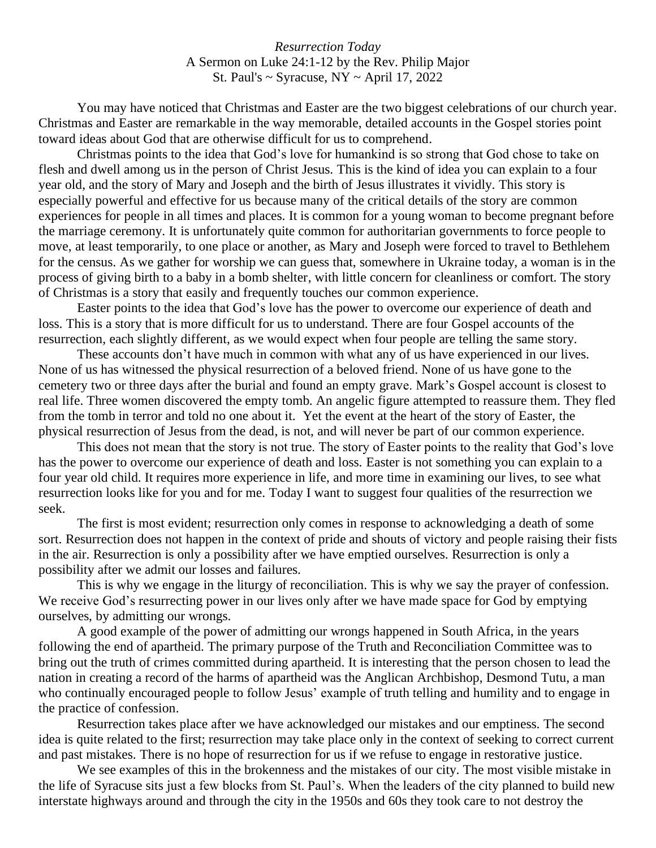*Resurrection Today* A Sermon on Luke 24:1-12 by the Rev. Philip Major St. Paul's  $\sim$  Syracuse, NY  $\sim$  April 17, 2022

You may have noticed that Christmas and Easter are the two biggest celebrations of our church year. Christmas and Easter are remarkable in the way memorable, detailed accounts in the Gospel stories point toward ideas about God that are otherwise difficult for us to comprehend.

Christmas points to the idea that God's love for humankind is so strong that God chose to take on flesh and dwell among us in the person of Christ Jesus. This is the kind of idea you can explain to a four year old, and the story of Mary and Joseph and the birth of Jesus illustrates it vividly. This story is especially powerful and effective for us because many of the critical details of the story are common experiences for people in all times and places. It is common for a young woman to become pregnant before the marriage ceremony. It is unfortunately quite common for authoritarian governments to force people to move, at least temporarily, to one place or another, as Mary and Joseph were forced to travel to Bethlehem for the census. As we gather for worship we can guess that, somewhere in Ukraine today, a woman is in the process of giving birth to a baby in a bomb shelter, with little concern for cleanliness or comfort. The story of Christmas is a story that easily and frequently touches our common experience.

Easter points to the idea that God's love has the power to overcome our experience of death and loss. This is a story that is more difficult for us to understand. There are four Gospel accounts of the resurrection, each slightly different, as we would expect when four people are telling the same story.

These accounts don't have much in common with what any of us have experienced in our lives. None of us has witnessed the physical resurrection of a beloved friend. None of us have gone to the cemetery two or three days after the burial and found an empty grave. Mark's Gospel account is closest to real life. Three women discovered the empty tomb. An angelic figure attempted to reassure them. They fled from the tomb in terror and told no one about it. Yet the event at the heart of the story of Easter, the physical resurrection of Jesus from the dead, is not, and will never be part of our common experience.

This does not mean that the story is not true. The story of Easter points to the reality that God's love has the power to overcome our experience of death and loss. Easter is not something you can explain to a four year old child. It requires more experience in life, and more time in examining our lives, to see what resurrection looks like for you and for me. Today I want to suggest four qualities of the resurrection we seek.

The first is most evident; resurrection only comes in response to acknowledging a death of some sort. Resurrection does not happen in the context of pride and shouts of victory and people raising their fists in the air. Resurrection is only a possibility after we have emptied ourselves. Resurrection is only a possibility after we admit our losses and failures.

This is why we engage in the liturgy of reconciliation. This is why we say the prayer of confession. We receive God's resurrecting power in our lives only after we have made space for God by emptying ourselves, by admitting our wrongs.

A good example of the power of admitting our wrongs happened in South Africa, in the years following the end of apartheid. The primary purpose of the Truth and Reconciliation Committee was to bring out the truth of crimes committed during apartheid. It is interesting that the person chosen to lead the nation in creating a record of the harms of apartheid was the Anglican Archbishop, Desmond Tutu, a man who continually encouraged people to follow Jesus' example of truth telling and humility and to engage in the practice of confession.

Resurrection takes place after we have acknowledged our mistakes and our emptiness. The second idea is quite related to the first; resurrection may take place only in the context of seeking to correct current and past mistakes. There is no hope of resurrection for us if we refuse to engage in restorative justice.

We see examples of this in the brokenness and the mistakes of our city. The most visible mistake in the life of Syracuse sits just a few blocks from St. Paul's. When the leaders of the city planned to build new interstate highways around and through the city in the 1950s and 60s they took care to not destroy the